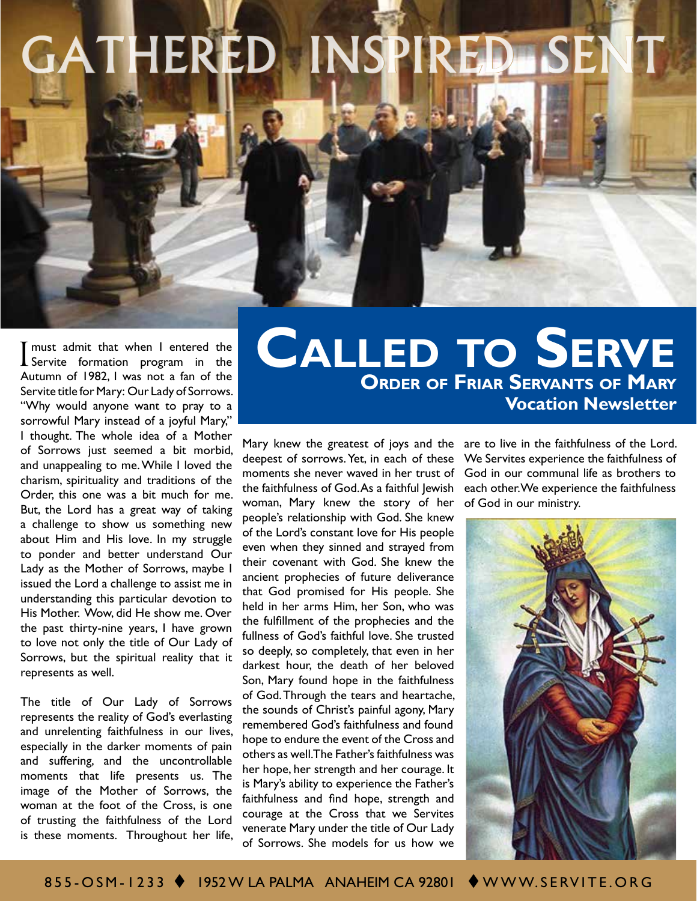# GATHERED INSPIRED SEN

I must admit that when I entered the Servite formation program in the Autumn of 1982, I was not a fan of the Servite title for Mary: Our Lady of Sorrows. "Why would anyone want to pray to a sorrowful Mary instead of a joyful Mary," I thought. The whole idea of a Mother of Sorrows just seemed a bit morbid, and unappealing to me. While I loved the charism, spirituality and traditions of the Order, this one was a bit much for me. But, the Lord has a great way of taking a challenge to show us something new about Him and His love. In my struggle to ponder and better understand Our Lady as the Mother of Sorrows, maybe I issued the Lord a challenge to assist me in understanding this particular devotion to His Mother. Wow, did He show me. Over the past thirty-nine years, I have grown to love not only the title of Our Lady of Sorrows, but the spiritual reality that it represents as well.

The title of Our Lady of Sorrows represents the reality of God's everlasting and unrelenting faithfulness in our lives, especially in the darker moments of pain and suffering, and the uncontrollable moments that life presents us. The image of the Mother of Sorrows, the woman at the foot of the Cross, is one of trusting the faithfulness of the Lord is these moments. Throughout her life,

## **Order of Friar Servants of Mary Vocation Newsletter Called to Serve**

deepest of sorrows. Yet, in each of these moments she never waved in her trust of the faithfulness of God. As a faithful Jewish woman, Mary knew the story of her people's relationship with God. She knew of the Lord's constant love for His people even when they sinned and strayed from their covenant with God. She knew the ancient prophecies of future deliverance that God promised for His people. She held in her arms Him, her Son, who was the fulfillment of the prophecies and the fullness of God's faithful love. She trusted so deeply, so completely, that even in her darkest hour, the death of her beloved Son, Mary found hope in the faithfulness of God. Through the tears and heartache, the sounds of Christ's painful agony, Mary remembered God's faithfulness and found hope to endure the event of the Cross and others as well. The Father's faithfulness was her hope, her strength and her courage. It is Mary's ability to experience the Father's faithfulness and find hope, strength and courage at the Cross that we Servites venerate Mary under the title of Our Lady of Sorrows. She models for us how we

Mary knew the greatest of joys and the are to live in the faithfulness of the Lord. We Servites experience the faithfulness of God in our communal life as brothers to each other. We experience the faithfulness of God in our ministry.